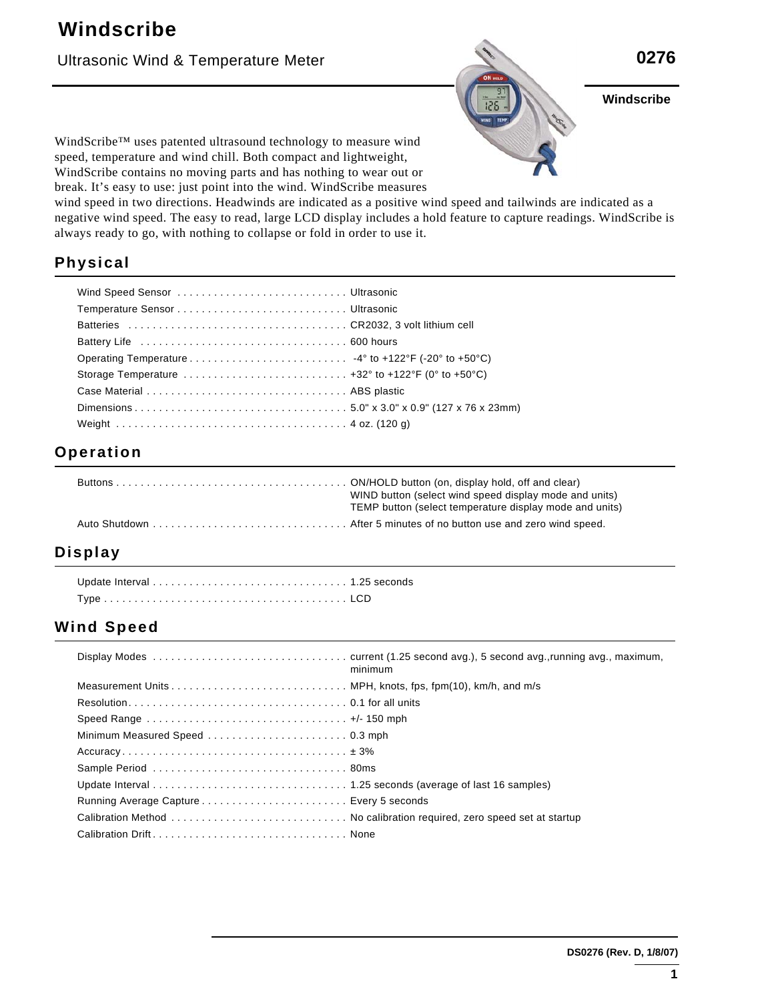### Ultrasonic Wind & Temperature Meter



**Windscribe**  $\blacktriangle$  N **Cover Art** 

WindScribe™ uses patented ultrasound technology to measure wind speed, temperature and wind chill. Both compact and lightweight, WindScribe contains no moving parts and has nothing to wear out or break. It's easy to use: just point into the wind. WindScribe measures

wind speed in two directions. Headwinds are indicated as a positive wind speed and tailwinds are indicated as a negative wind speed. The easy to read, large LCD display includes a hold feature to capture readings. WindScribe is always ready to go, with nothing to collapse or fold in order to use it.

## **Physical**

| Storage Temperature $\dots\dots\dots\dots\dots\dots\dots\dots\dots\dots$ +32° to +122°F (0° to +50°C) |  |
|-------------------------------------------------------------------------------------------------------|--|
|                                                                                                       |  |
|                                                                                                       |  |
|                                                                                                       |  |

#### **Operation**

| WIND button (select wind speed display mode and units)<br>TEMP button (select temperature display mode and units) |
|-------------------------------------------------------------------------------------------------------------------|
|                                                                                                                   |

#### **Display**

Update Interval . . . . . . . . . . . . . . . . . . . . . . . . . . . . . . . . 1.25 seconds Type . . . . . . . . . . . . . . . . . . . . . . . . . . . . . . . . . . . . . . . . LCD

#### **Wind Speed**

|                                                                                                         | minimum |
|---------------------------------------------------------------------------------------------------------|---------|
|                                                                                                         |         |
|                                                                                                         |         |
| Speed Range $\ldots \ldots \ldots \ldots \ldots \ldots \ldots \ldots \ldots \ldots \ldots +/$ - 150 mph |         |
|                                                                                                         |         |
|                                                                                                         |         |
|                                                                                                         |         |
|                                                                                                         |         |
|                                                                                                         |         |
|                                                                                                         |         |
|                                                                                                         |         |